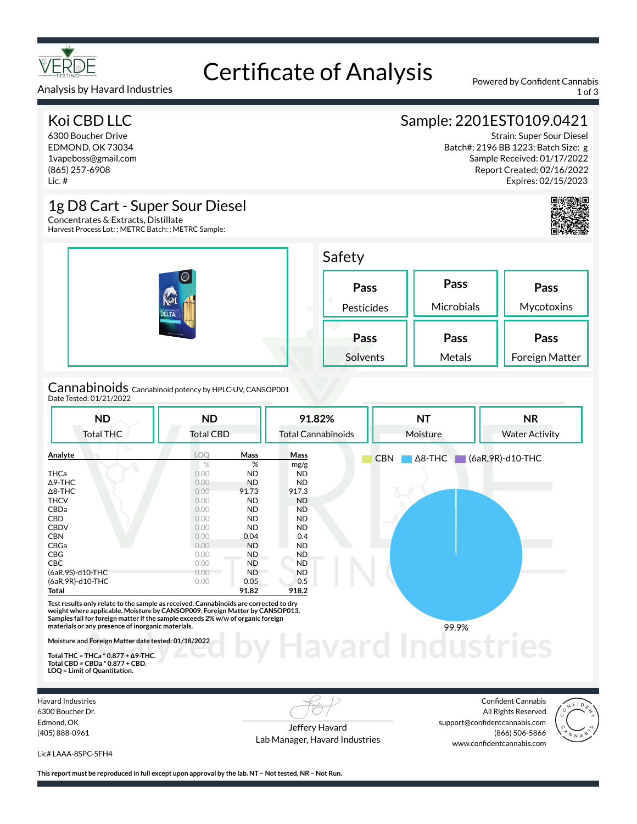

# Certificate of Analysis Powered by Confident Cannabis

## Koi CBD LLC

Analysis by Havard Industries

6300 Boucher Drive EDMOND, OK 73034 1vapeboss@gmail.com (865) 257-6908 Lic. #

## Sample: 2201EST0109.0421

Strain: Super Sour Diesel Batch#: 2196 BB 1223; Batch Size: g Sample Received: 01/17/2022 Report Created: 02/16/2022 Expires: 02/15/2023



## 1g D8 Cart - Super Sour Diesel

Concentrates & Extracts, Distillate Harvest Process Lot: ; METRC Batch: ; METRC Sample:

|                                                                         | Safety             |                    |                               |  |  |
|-------------------------------------------------------------------------|--------------------|--------------------|-------------------------------|--|--|
| ⋒<br>Koi<br><b>DELTA</b><br><b>STATISTICS</b><br><b>DESERT SERVICES</b> | Pass<br>Pesticides | Pass<br>Microbials | Pass<br>Mycotoxins            |  |  |
|                                                                         |                    |                    |                               |  |  |
|                                                                         | Pass<br>Solvents   | Pass<br>Metals     | Pass<br><b>Foreign Matter</b> |  |  |

Cannabinoids<br><sub>Date Tested: 01/21/2022</sub>

| <b>ND</b>                                                                                                                                                                                                                                                | <b>ND</b>        |             | 91.82%                    | <b>NT</b>                    | <b>NR</b>             |  |
|----------------------------------------------------------------------------------------------------------------------------------------------------------------------------------------------------------------------------------------------------------|------------------|-------------|---------------------------|------------------------------|-----------------------|--|
| <b>Total THC</b>                                                                                                                                                                                                                                         | <b>Total CBD</b> |             | <b>Total Cannabinoids</b> | Moisture                     | <b>Water Activity</b> |  |
| Analyte                                                                                                                                                                                                                                                  | <b>LOO</b>       | <b>Mass</b> | Mass                      | $\Delta$ 8-THC<br><b>CBN</b> | (6aR, 9R)-d10-THC     |  |
|                                                                                                                                                                                                                                                          | $\%$             | %           | mg/g                      |                              |                       |  |
| <b>THCa</b>                                                                                                                                                                                                                                              | 0.00             | <b>ND</b>   | <b>ND</b>                 |                              |                       |  |
| $\Delta$ 9-THC                                                                                                                                                                                                                                           | 0.00             | <b>ND</b>   | <b>ND</b>                 |                              |                       |  |
| $\Delta$ 8-THC                                                                                                                                                                                                                                           | 0.00             | 91.73       | 917.3                     |                              |                       |  |
| <b>THCV</b>                                                                                                                                                                                                                                              | 0.00             | <b>ND</b>   | <b>ND</b>                 |                              |                       |  |
| CBDa                                                                                                                                                                                                                                                     | 0.00             | <b>ND</b>   | <b>ND</b>                 |                              |                       |  |
| <b>CBD</b>                                                                                                                                                                                                                                               | 0.00             | <b>ND</b>   | ND.                       |                              |                       |  |
| <b>CBDV</b>                                                                                                                                                                                                                                              | 0.00             | <b>ND</b>   | ND.                       |                              |                       |  |
| <b>CBN</b>                                                                                                                                                                                                                                               | 0.00             | 0.04        | 0.4                       |                              |                       |  |
| CBGa                                                                                                                                                                                                                                                     | 0.00             | <b>ND</b>   | <b>ND</b>                 |                              |                       |  |
| <b>CBG</b>                                                                                                                                                                                                                                               | 0.00             | ND.         | ND.                       |                              |                       |  |
| <b>CBC</b>                                                                                                                                                                                                                                               | 0.00             | <b>ND</b>   | <b>ND</b>                 |                              |                       |  |
| (6aR, 9S)-d10-THC                                                                                                                                                                                                                                        | 0.00             | <b>ND</b>   | <b>ND</b>                 |                              |                       |  |
| (6aR, 9R)-d10-THC                                                                                                                                                                                                                                        | 0.00             | 0.05        | 0.5                       |                              |                       |  |
| Total                                                                                                                                                                                                                                                    |                  | 91.82       | 918.2                     |                              |                       |  |
| Test results only relate to the sample as received. Cannabinoids are corrected to dry<br>weight where applicable. Moisture by CANSOP009. Foreign Matter by CANSOP013.<br>Samples fail for foreign matter if the sample exceeds 2% w/w of organic foreign |                  |             |                           |                              |                       |  |
| materials or any presence of inorganic materials.                                                                                                                                                                                                        |                  |             |                           | 99.9%                        |                       |  |
| Moisture and Foreign Matter date tested: 01/18/2022                                                                                                                                                                                                      |                  |             |                           |                              |                       |  |
| Total THC = THCa $*$ 0.877 + $\Delta$ 9-THC.                                                                                                                                                                                                             |                  |             |                           |                              |                       |  |
| $T_{\text{old}}$ $CDD = CDD + 80.077$ $CDD$                                                                                                                                                                                                              |                  |             |                           |                              |                       |  |

**Total CBD = CBDa \* 0.877 + CBD. LOQ = Limit of Quantitation.**

Havard Industries 6300 Boucher Dr. Edmond, OK (405) 888-0961

Jeffery Havard Lab Manager, Havard Industries

Confident Cannabis All Rights Reserved support@confidentcannabis.com (866) 506-5866 www.confidentcannabis.com



Lic# LAAA-8SPC-5FH4

**This report must be reproduced in full except upon approval by the lab. NT – Not tested, NR – Not Run.**